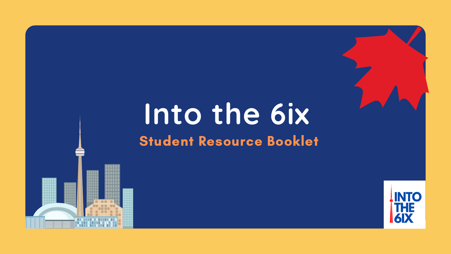# **Into the 6ix** Student Resource Booklet



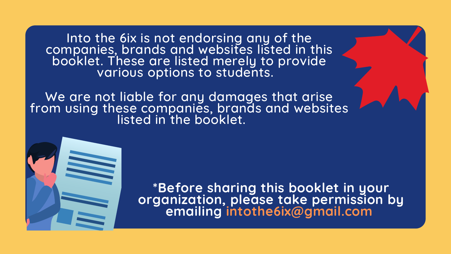**\*Before sharing this booklet in your organization, please take permission by emailing intothe6ix@gmail.com**

Into the 6ix is not endorsing any of the companies, brands and websites listed in this booklet. These are listed merely to provide various options to students.

We are not liable for any damages that arise from using these companies, brands and websites listed in the booklet.

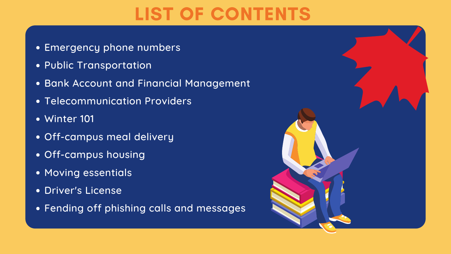- Emergency phone numbers
- Public Transportation
- **Bank Account and Financial Management**
- **Telecommunication Providers**
- Winter 101
- Off-campus meal delivery
- Off-campus housing
- **Moving essentials**
- Driver's License
- Fending off phishing calls and messages





## LIST OF CONTENTS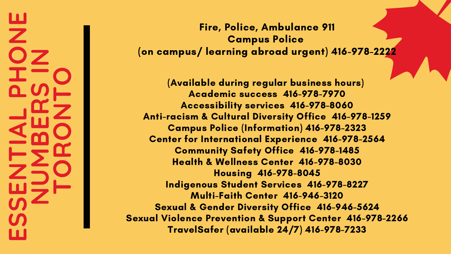### **E** $\boldsymbol{\mathcal{S}}$  $\boldsymbol{\mathcal{S}}$ **ENTI ALPHONENUΣ BER** $\boldsymbol{\mathcal{S}}$ **I NTORONTO**

(Available during regular business hours) Academic success 416-978-7970 Accessibility services 416-978-8060 Anti-racism & Cultural Diversity Office 416-978-1259 Campus Police (Information) 416-978-2323 Center for International Experience 416-978-2564 Community Safety Office 416-978-1485 Health & Wellness Center 416-978-8030 Housing 416-978-8045 Indigenous Student Services 416-978-8227 Multi-Faith Center 416-946-3120 Sexual & Gender Diversity Office 416-946-5624 Sexual Violence Prevention & Support Center 416-978-2266 TravelSafer (available 24/7) 416-978-7233

### Fire, Police, Ambulance 911 Campus Police (on campus/ learning abroad urgent) 416-978-2222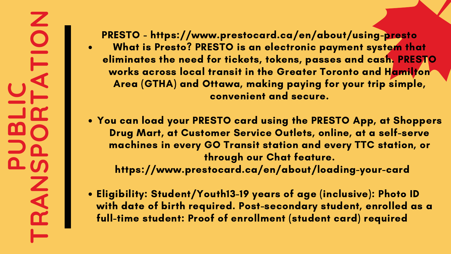**U**

**B**

**I** 

**C**

**T**

**R**

**LR**

**A**

**N**

 $\boldsymbol{\mathcal{S}}$ 

**P**

**O**

**T**

**A**

**T**

**I** 

**O**

**N**

What is Presto? PRESTO is an electronic payment system that eliminates the need for tickets, tokens, passes and cash. PRESTO works across local transit in the Greater Toronto and Hamilton Area (GTHA) and Ottawa, making paying for your trip simple, convenient and secure. PRESTO - https://www.prestocard.ca/en/about/using-presto

You can load your PRESTO card using the PRESTO App, at Shoppers Drug Mart, at Customer Service Outlets, online, at a self-serve machines in every GO Transit station and every TTC station, or through our Chat feature. https://www.prestocard.ca/en/about/loading-your-card

**P**

Eligibility: Student/Youth13-19 years of age (inclusive): Photo ID with date of birth required. Post-secondary student, enrolled as a full-time student: Proof of enrollment (student card) required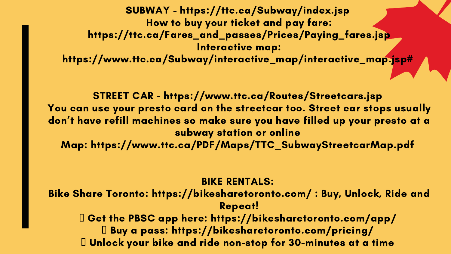SUBWAY - https://ttc.ca/Subway/index.jsp How to buy your ticket and pay fare: https://ttc.ca/Fares\_and\_passes/Prices/Paying\_fares.jsp Interactive map: https://www.ttc.ca/Subway/interactive\_map/interactive\_map.jsp#

STREET CAR - https://www.ttc.ca/Routes/Streetcars.jsp You can use your presto card on the streetcar too. Street car stops usually don 't have refill machines so make sure you have filled up your presto at a subway station or online Map: https://www.ttc.ca/PDF/Maps/TTC\_SubwayStreetcarMap.pdf

BIKE RENTALS: Bike Share Toronto: https://bikesharetoronto.com/ : Buy, Unlock, Ride and Repeat! Get the PBSC app here: https://bikesharetoronto.com/app/ Buy a pass: https://bikesharetoronto.com/pricing/ Unlock your bike and ride non-stop for 30-minutes at a time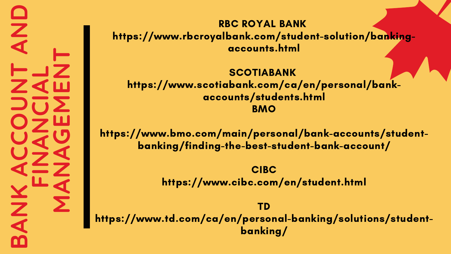**BANKACCOUNTANDFI NANCI ALΣ ANAGEΣ ENT**

SCOTIABANK https://www.scotiabank.com/ca/en/personal/bankaccounts/students.html **BMO** 

RBC ROYAL BANK https://www.rbcroyalbank.com/student-solution/bankingaccounts.html

 https://www.td.com/ca/en/personal-banking/solutions/student-TD banking/

https://www.bmo.com/main/personal/bank-accounts/studentbanking/finding-the-best-student-bank-account/

> CIBC https://www.cibc.com/en/student.html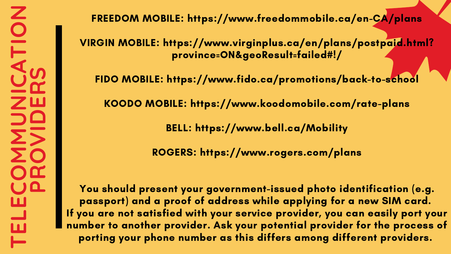### FREEDOM MOBILE: https://www.freedommobile.ca/en-CA/plans

VIRGIN MOBILE: https://www.virginplus.ca/en/plans/postpaid.html? province=ON&geoResult=failed#!/

FIDO MOBILE: https://www.fido.ca/promotions/back-to-school

KOODO MOBILE: https://www.koodomobile.com/rate-plans

BELL: https://www.bell.ca/Mobility

ROGERS: https://www.rogers.com/plans

You should present your government-issued photo identification (e.g. passport) and a proof of address while applying for a new SIM card. If you are not satisfied with your service provider, you can easily port your number to another provider. Ask your potential provider for the process of porting your phone number as this differs among different providers.

- 
- 
- 
- 
- 
-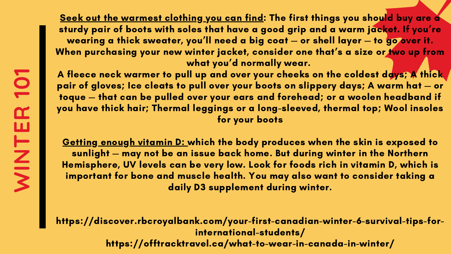**WI NTER101**

Seek out the warmest clothing you can find: The first things you should buy are a sturdy pair of boots with soles that have a good grip and a warm jacket. If you're wearing a thick sweater, you 'll need a big coat — or shell layer — to go over it. When purchasing your new winter jacket, consider one that's a size or two up from what you 'd normally wear.

<u>Getting enough vitamin D: which the body produces when the skin is exposed to</u> sunlight — may not be an issue back home. But during winter in the Northern Hemisphere, UV levels can be very low. Look for foods rich in vitamin D, which is important for bone and [muscle](https://www.healthlinkbc.ca/health-topics/za1487) health. You may also want to consider taking a daily D3 [supplement](https://www.hsph.harvard.edu/nutritionsource/vitamin-d/) during winter.

A fleece neck warmer to pull up and over your cheeks on the coldest days; A thick pair of gloves; Ice cleats to pull over your boots on slippery days; A warm hat — or toque — that can be pulled over your ears and forehead; or a woolen headband if you have thick hair; Thermal leggings or a long-sleeved, thermal top; Wool insoles for your boots

https://discover.rbcroyalbank.com/your-first-canadian-winter-6-survival-tips-forinternational-students/ https://offtracktravel.ca/what-to-wear-in-canada-in-winter/

- 
- 
- 
-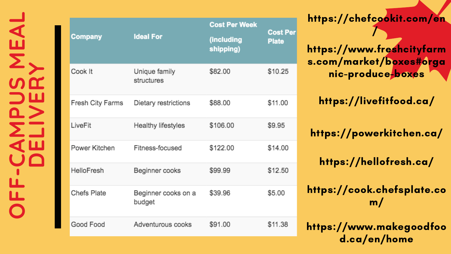**OFF-CAMPUS MEAL** NEAL **DELIVERY**  $\frac{1}{\Gamma}$ 

| Company                 | <b>Ideal For</b>              | <b>Cost Per Week</b>    | Cos<br>Plat |
|-------------------------|-------------------------------|-------------------------|-------------|
|                         |                               | (including<br>shipping) |             |
| Cook It                 | Unique family<br>structures   | \$82.00                 | \$10.       |
| <b>Fresh City Farms</b> | Dietary restrictions          | \$88.00                 | \$11.       |
| LiveFit                 | Healthy lifestyles            | \$106.00                | \$9.9       |
| Power Kitchen           | Fitness-focused               | \$122.00                | \$14.       |
| <b>HelloFresh</b>       | Beginner cooks                | \$99.99                 | \$12.       |
| <b>Chefs Plate</b>      | Beginner cooks on a<br>budget | \$39.96                 | \$5.0       |
| Good Food               | Adventurous cooks             | \$91.00                 |             |

https://chefcookit.com/en /

https://www.freshcityfarm s.com/market/boxes#orga nic-produce-boxes

https://livefitfood.ca/

https://powerkitchen.ca/

https://hellofresh.ca/

https://cook.chefsplate.co  $m/$ 

https://www.makeaoodfoo d.ca/en/home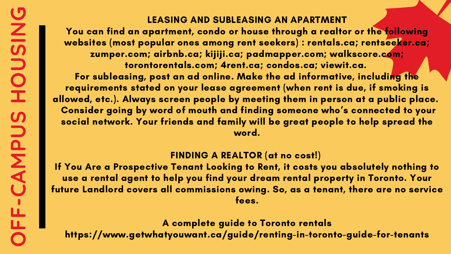### LEASING AND SUBLEASING AN APARTMENT You can find an apartment, condo or house through a realtor or the following websites (most popular ones among rent seekers) : rentals.ca; rentseeker.ca; zumper.com; airbnb.ca; kijiji.ca; padmapper.com; walkscore.com; torontorentals.com; 4rent.ca; condos.ca; viewit.ca. For subleasing, post an ad online. Make the ad informative, including the requirements stated on your lease agreement (when rent is due, if smoking is allowed, etc.). Always screen people by meeting them in person at a public place. Consider aoina by word of mouth and finding someone who's connected to your social network. Your friends and family will be great people to help spread the word.

FINDING A REALTOR (at no cost!) If You Are a Prospective Tenant Looking to Rent, it costs you absolutely nothing to use a rental agent to help you find your dream rental property in Toronto. Your future Landlord covers all commissions owing. So, as a tenant, there are no service fees.

A complete guide to Toronto rentals https://www.getwhatyouwant.ca/guide/renting-in-toronto-guide-for-tenants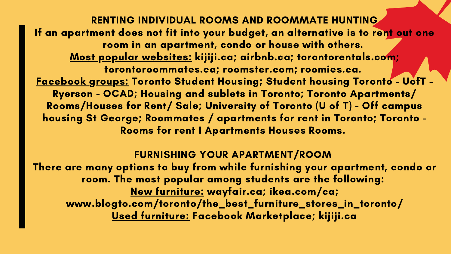RENTING INDIVIDUAL ROOMS AND ROOMMATE HUNTING If an apartment does not fit into your budget, an alternative is to rent out one room in an apartment, condo or house with others. Most popular websites: kijiji.ca; airbnb.ca; torontorentals.com; torontoroommates.ca; roomster.com; roomies.ca. Facebook groups: Toronto Student Housing; Student housing Toronto - UofT - Ryerson - OCAD; Housing and sublets in Toronto; Toronto Apartments/ Rooms/Houses for Rent/ Sale; University of Toronto (U of T) - Off campus housing St George; Roommates / apartments for rent in Toronto; Toronto - Rooms for rent I Apartments Houses Rooms.

FURNISHING YOUR APARTMENT/ROOM There are many options to buy from while furnishing your apartment, condo or room. The most popular among students are the following: New furniture: wayfair.ca; ikea.com/ca; www.blogto.com/toronto/the\_best\_furniture\_stores\_in\_toronto/ Used furniture: Facebook Marketplace; kijiji.ca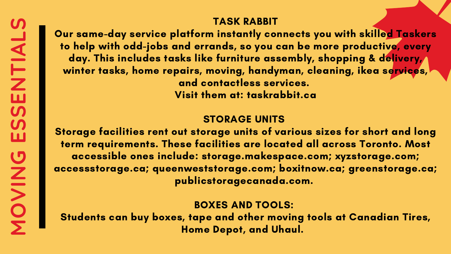TASK RABBIT

Our same-day service platform instantly connects you with skilled Taskers to help with odd-jobs and errands, so you can be more productive, every day. This includes tasks like furniture assembly, shopping & delivery, winter tasks, home repairs, moving, handyman, cleaning, ikea services, and contactless services. Visit them at: taskrabbit.ca

### STORAGE UNITS

Storage facilities rent out storage units of various sizes for short and long term requirements. These facilities are located all across Toronto. Most accessible ones include: storage.makespace.com; xyzstorage.com; accessstorage.ca; queenweststorage.com; boxitnow.ca; greenstorage.ca; publicstoragecanada.com.

BOXES AND TOOLS: Students can buy boxes, tape and other moving tools at Canadian Tires, Home Depot, and Uhaul.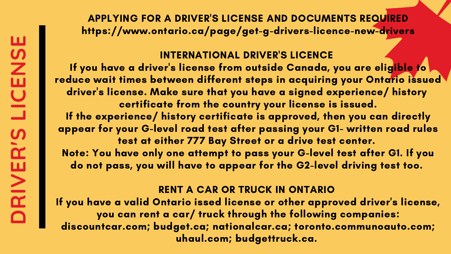APPLYING FOR A DRIVER'S LICENSE AND DOCUMENTS REQUIRED https://www.ontario.ca/page/get-g-drivers-licence-new-drivers

- s license from outside Canada, you are eligible to
	-
	-
	-

INTERNATIONAL DRIVER'S LICENCE If you have a driver 'reduce wait times between different steps in acquiring your Ontario issued driver ' s license. Make sure that you have a signed experience/ history certificate from the country your license is issued. If the experience/ history certificate is approved, then you can directly appear for your G-level road test after passing your G1- written road rules test at either 777 Bay Street or a drive test center. Note: You have only one attempt to pass your G-level test after G1. If you do not pass, you will have to appear for the G2-level driving test too.

- 's license,
- 

RENT A CAR OR TRUCK IN ONTARIO If you have a valid Ontario issed license or other approved driver you can rent a car/ truck through the following companies: discountcar.com; budget.ca; nationalcar.ca; toronto.communoauto.com; uhaul.com; budgettruck.ca.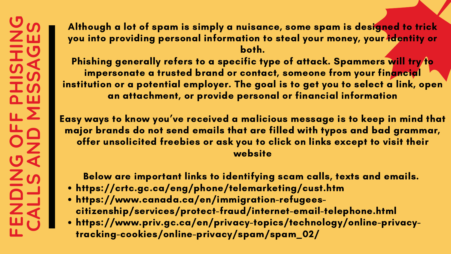- https://crtc.gc.ca/eng/phone/telemarketing/cust.htm
- https://www.canada.ca/en/immigration-refugeescitizenship/services/protect-fraud/internet-email-telephone.html
- https://www.priv.gc.ca/en/privacy-topics/technology/online-privacytracking-cookies/online-privacy/spam/spam\_02/

Phishing generally refers to a specific type of attack. Spammers will try to impersonate a trusted brand or contact, someone from your financial institution or a potential employer. The goal is to get you to select a link, open an attachment, or provide personal or financial information

Although a lot of spam is simply a nuisance, some spam is designed to trick you into providing personal information to steal your money, your identity or both.

 Easy ways to know you ' ve received a malicious message is to keep in mind that major brands do not send emails that are filled with typos and bad grammar, offer unsolicited freebies or ask you to click on links except to visit their website

Below are important links to identifying scam calls, texts and emails.